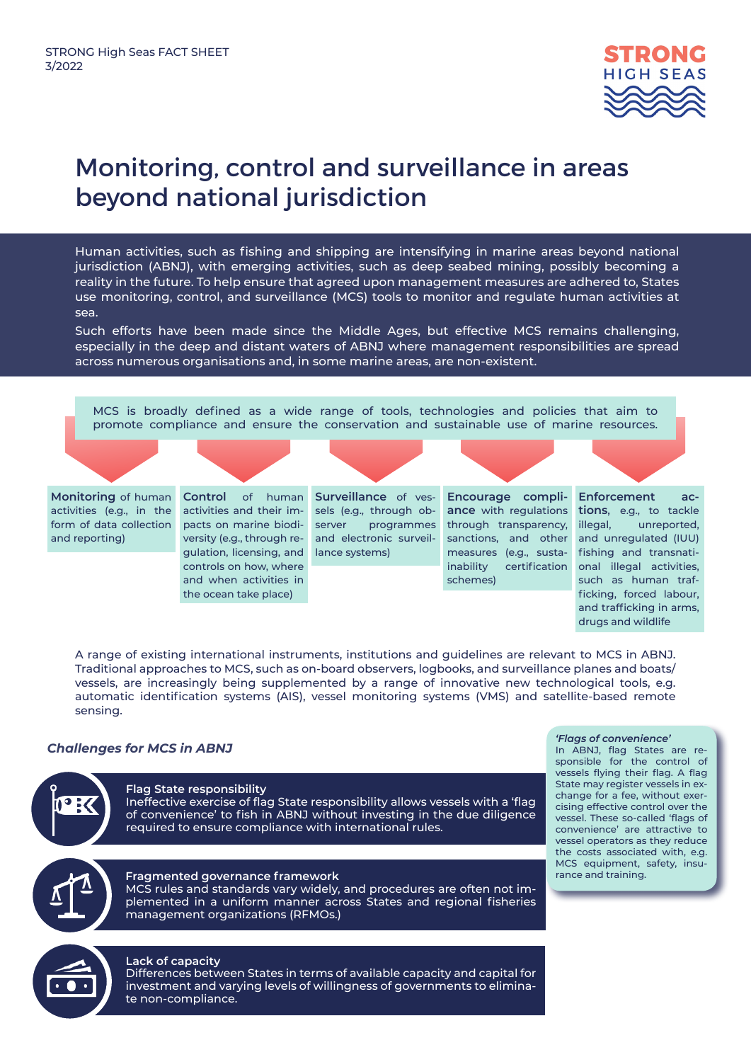

# Monitoring, control and surveillance in areas beyond national jurisdiction

Human activities, such as fishing and shipping are intensifying in marine areas beyond national jurisdiction (ABNJ), with emerging activities, such as deep seabed mining, possibly becoming a reality in the future. To help ensure that agreed upon management measures are adhered to, States use monitoring, control, and surveillance (MCS) tools to monitor and regulate human activities at sea.

Such efforts have been made since the Middle Ages, but effective MCS remains challenging, especially in the deep and distant waters of ABNJ where management responsibilities are spread across numerous organisations and, in some marine areas, are non-existent.

MCS is broadly defined as a wide range of tools, technologies and policies that aim to promote compliance and ensure the conservation and sustainable use of marine resources.

**Monitoring** of human activities (e.g., in the form of data collection and reporting)

gulation, licensing, and lance systems) activities and their impacts on marine biodiversity (e.g., through recontrols on how, where and when activities in the ocean take place)

Control of human Surveillance of vessels (e.g., through oband electronic surveil-

measures (e.g., susta- fishing and transnati-**Encourage compli**server programmes through transparency, sanctions, and other inability certification schemes)

**Enforcement ac**ance with regulations tions, e.g., to tackle unreported and unregulated (IUU) onal illegal activities, such as human trafficking, forced labour, and trafficking in arms, drugs and wildlife

A range of existing international instruments, institutions and guidelines are relevant to MCS in ABNJ. Traditional approaches to MCS, such as on-board observers, logbooks, and surveillance planes and boats/ vessels, are increasingly being supplemented by a range of innovative new technological tools, e.g. automatic identification systems (AIS), vessel monitoring systems (VMS) and satellite-based remote sensing.

## *Challenges for MCS in ABNJ*

**Flag State responsibility**  Ineffective exercise of flag State responsibility allows vessels with a 'flag of convenience' to fish in ABNJ without investing in the due diligence required to ensure compliance with international rules.

## **Fragmented governance framework**

MCS rules and standards vary widely, and procedures are often not implemented in a uniform manner across States and regional fisheries management organizations (RFMOs.)

#### **Lack of capacity**

Differences between States in terms of available capacity and capital for investment and varying levels of willingness of governments to eliminate non-compliance.

#### *'Flags of convenience'*

In ABNJ, flag States are responsible for the control of vessels flying their flag. A flag State may register vessels in exchange for a fee, without exercising effective control over the vessel. These so-called 'flags of convenience' are attractive to vessel operators as they reduce the costs associated with, e.g. MCS equipment, safety, insurance and training.